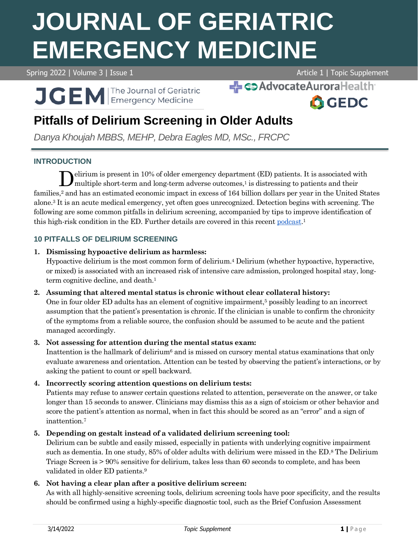# **JOURNAL OF GERIATRIC EMERGENCY MEDICINE**

Spring 2022 | Volume 3 | Issue 1 Article 1 | Topic Supplement



SAdvocateAuroraHealth **A**GEDC

# **Pitfalls of Delirium Screening in Older Adults**

*Danya Khoujah MBBS, MEHP, Debra Eagles MD, MSc., FRCPC*

# **INTRODUCTION**

elirium is present in 10% of older emergency department (ED) patients. It is associated with multiple short-term and long-term adverse outcomes,<sup>1</sup> is distressing to patients and their families,<sup>2</sup> and has an estimated economic impact in excess of 164 billion dollars per year in the United States alone.<sup>3</sup> It is an acute medical emergency, yet often goes unrecognized. Detection begins with screening. The following are some common pitfalls in delirium screening, accompanied by tips to improve identification of this high-risk condition in the ED. Further details are covered in this recent [podcast.](https://gedcollaborative.com/podcast/acute-brain-failure-in-older-emergency-department-patient/)<sup>1</sup> D

# **10 PITFALLS OF DELIRIUM SCREENING**

# **1. Dismissing hypoactive delirium as harmless:**

Hypoactive delirium is the most common form of delirium.<sup>4</sup> Delirium (whether hypoactive, hyperactive, or mixed) is associated with an increased risk of intensive care admission, prolonged hospital stay, longterm cognitive decline, and death.<sup>1</sup>

#### **2. Assuming that altered mental status is chronic without clear collateral history:**

One in four older ED adults has an element of cognitive impairment,<sup>5</sup> possibly leading to an incorrect assumption that the patient's presentation is chronic. If the clinician is unable to confirm the chronicity of the symptoms from a reliable source, the confusion should be assumed to be acute and the patient managed accordingly.

# **3. Not assessing for attention during the mental status exam:**

Inattention is the hallmark of delirium<sup>6</sup> and is missed on cursory mental status examinations that only evaluate awareness and orientation. Attention can be tested by observing the patient's interactions, or by asking the patient to count or spell backward.

# **4. Incorrectly scoring attention questions on delirium tests:**

Patients may refuse to answer certain questions related to attention, perseverate on the answer, or take longer than 15 seconds to answer. Clinicians may dismiss this as a sign of stoicism or other behavior and score the patient's attention as normal, when in fact this should be scored as an "error" and a sign of inattention.<sup>7</sup>

# **5. Depending on gestalt instead of a validated delirium screening tool:**

Delirium can be subtle and easily missed, especially in patients with underlying cognitive impairment such as dementia. In one study, 85% of older adults with delirium were missed in the ED.<sup>8</sup> The Delirium Triage Screen is > 90% sensitive for delirium, takes less than 60 seconds to complete, and has been validated in older ED patients.<sup>9</sup>

# **6. Not having a clear plan after a positive delirium screen:**

As with all highly-sensitive screening tools, delirium screening tools have poor specificity, and the results should be confirmed using a highly-specific diagnostic tool, such as the Brief Confusion Assessment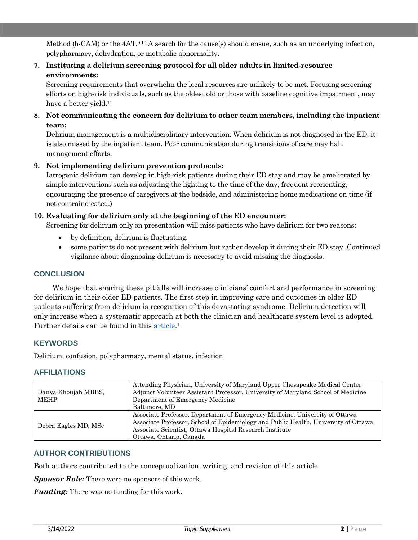Method (b-CAM) or the 4AT.9,10 A search for the cause(s) should ensue, such as an underlying infection, polypharmacy, dehydration, or metabolic abnormality.

**7. Instituting a delirium screening protocol for all older adults in limited-resource environments:**

Screening requirements that overwhelm the local resources are unlikely to be met. Focusing screening efforts on high-risk individuals, such as the oldest old or those with baseline cognitive impairment, may have a better yield.<sup>11</sup>

**8. Not communicating the concern for delirium to other team members, including the inpatient team:**

Delirium management is a multidisciplinary intervention. When delirium is not diagnosed in the ED, it is also missed by the inpatient team. Poor communication during transitions of care may halt management efforts.

#### **9. Not implementing delirium prevention protocols:**

Iatrogenic delirium can develop in high-risk patients during their ED stay and may be ameliorated by simple interventions such as adjusting the lighting to the time of the day, frequent reorienting, encouraging the presence of caregivers at the bedside, and administering home medications on time (if not contraindicated.)

#### **10. Evaluating for delirium only at the beginning of the ED encounter:**

Screening for delirium only on presentation will miss patients who have delirium for two reasons:

- by definition, delirium is fluctuating.
- some patients do not present with delirium but rather develop it during their ED stay. Continued vigilance about diagnosing delirium is necessary to avoid missing the diagnosis.

# **CONCLUSION**

We hope that sharing these pitfalls will increase clinicians' comfort and performance in screening for delirium in their older ED patients. The first step in improving care and outcomes in older ED patients suffering from delirium is recognition of this devastating syndrome. Delirium detection will only increase when a systematic approach at both the clinician and healthcare system level is adopted. Further details can be found in this [article.](https://pubmed.ncbi.nlm.nih.gov/33863460/)<sup>1</sup>

#### **KEYWORDS**

Delirium, confusion, polypharmacy, mental status, infection

#### **AFFILIATIONS**

| Danya Khoujah MBBS,<br><b>MEHP</b> | Attending Physician, University of Maryland Upper Chesapeake Medical Center<br>Adjunct Volunteer Assistant Professor, University of Maryland School of Medicine<br>Department of Emergency Medicine<br>Baltimore, MD                                     |
|------------------------------------|----------------------------------------------------------------------------------------------------------------------------------------------------------------------------------------------------------------------------------------------------------|
| Debra Eagles MD, MSc               | Associate Professor, Department of Emergency Medicine, University of Ottawa<br>Associate Professor, School of Epidemiology and Public Health, University of Ottawa<br>Associate Scientist, Ottawa Hospital Research Institute<br>Ottawa, Ontario, Canada |

#### **AUTHOR CONTRIBUTIONS**

Both authors contributed to the conceptualization, writing, and revision of this article.

*Sponsor Role:* There were no sponsors of this work.

*Funding:* There was no funding for this work.